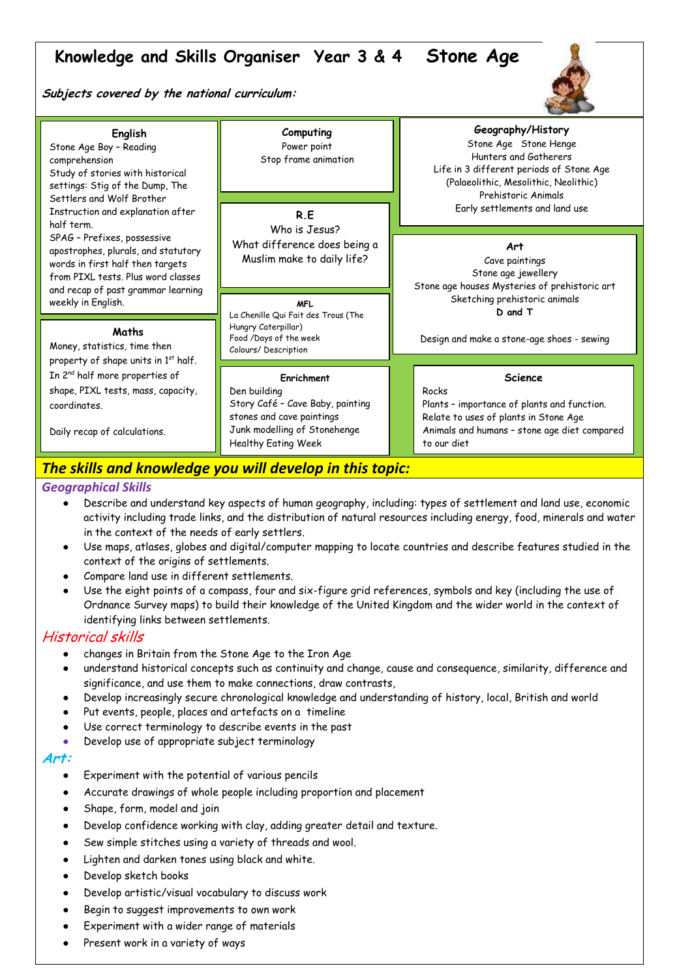# **Knowledge and Skills Organiser Year 3 & 4 Stone Age**

**Subjects covered by the national curriculum:**



| English<br>Stone Age Boy - Reading<br>comprehension<br>Study of stories with historical<br>settings: Stig of the Dump, The<br>Settlers and Wolf Brother<br>Instruction and explanation after<br>half term.<br>SPAG - Prefixes, possessive<br>apostrophes, plurals, and statutory<br>words in first half then targets<br>from PIXL tests. Plus word classes<br>and recap of past grammar learning<br>weekly in English. | Computing<br>Power point<br>Stop frame animation<br>R.E                                                                                                   | Geography/History<br>Stone Age Stone Henge<br>Hunters and Gatherers<br>Life in 3 different periods of Stone Age<br>(Palaeolithic, Mesolithic, Neolithic)<br>Prehistoric Animals<br>Early settlements and land use |
|------------------------------------------------------------------------------------------------------------------------------------------------------------------------------------------------------------------------------------------------------------------------------------------------------------------------------------------------------------------------------------------------------------------------|-----------------------------------------------------------------------------------------------------------------------------------------------------------|-------------------------------------------------------------------------------------------------------------------------------------------------------------------------------------------------------------------|
|                                                                                                                                                                                                                                                                                                                                                                                                                        | Who is Jesus?<br>What difference does being a<br>Muslim make to daily life?                                                                               | Art<br>Cave paintings<br>Stone age jewellery<br>Stone age houses Mysteries of prehistoric art<br>Sketching prehistoric animals                                                                                    |
| Maths<br>Money, statistics, time then<br>property of shape units in 1st half.<br>In 2 <sup>nd</sup> half more properties of<br>shape, PIXL tests, mass, capacity,<br>coordinates.<br>Daily recap of calculations.                                                                                                                                                                                                      | <b>MFL</b><br>La Chenille Qui Fait des Trous (The<br>Hungry Caterpillar)<br>Food /Days of the week<br>Colours/Description                                 | D and T<br>Design and make a stone-age shoes - sewing                                                                                                                                                             |
|                                                                                                                                                                                                                                                                                                                                                                                                                        | Enrichment<br>Den building<br>Story Café - Cave Baby, painting<br>stones and cave paintings<br>Junk modelling of Stonehenge<br><b>Healthy Eating Week</b> | <b>Science</b><br>Rocks<br>Plants - importance of plants and function.<br>Relate to uses of plants in Stone Age<br>Animals and humans - stone age diet compared<br>to our diet                                    |

# The skills and knowledge you will develop in this topic:

## *Geographical Skills*

- Describe and understand key aspects of human geography, including: types of settlement and land use, economic activity including trade links, and the distribution of natural resources including energy, food, minerals and water in the context of the needs of early settlers.
- Use maps, atlases, globes and digital/computer mapping to locate countries and describe features studied in the context of the origins of settlements.
- Compare land use in different settlements.
- Use the eight points of a compass, four and six-figure grid references, symbols and key (including the use of Ordnance Survey maps) to build their knowledge of the United Kingdom and the wider world in the context of identifying links between settlements.

# Historical skills

- changes in Britain from the Stone Age to the Iron Age
- understand historical concepts such as continuity and change, cause and consequence, similarity, difference and significance, and use them to make connections, draw contrasts,
- Develop increasingly secure chronological knowledge and understanding of history, local, British and world
- Put events, people, places and artefacts on a timeline
- Use correct terminology to describe events in the past
- Develop use of appropriate subject terminology

## **Art:**

- Experiment with the potential of various pencils
- Accurate drawings of whole people including proportion and placement
- Shape, form, model and join
- Develop confidence working with clay, adding greater detail and texture.
- Sew simple stitches using a variety of threads and wool.
- Lighten and darken tones using black and white.
- Develop sketch books
- Develop artistic/visual vocabulary to discuss work
- Begin to suggest improvements to own work
- Experiment with a wider range of materials
- Present work in a variety of ways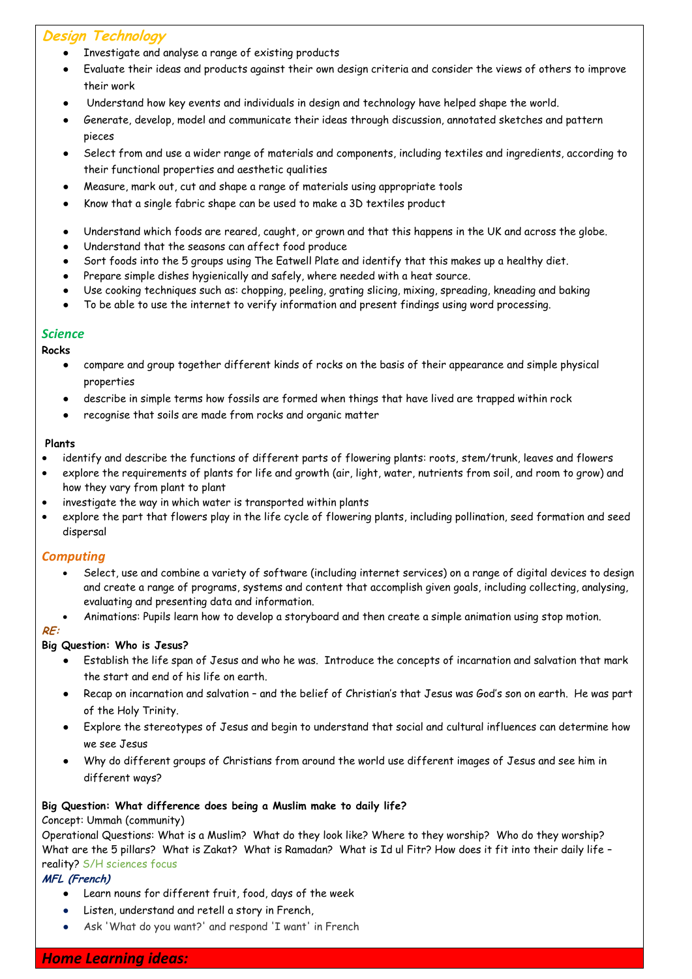# **Design Technology**

- Investigate and analyse a range of existing products
- Evaluate their ideas and products against their own design criteria and consider the views of others to improve their work
- Understand how key events and individuals in design and technology have helped shape the world.
- Generate, develop, model and communicate their ideas through discussion, annotated sketches and pattern pieces
- Select from and use a wider range of materials and components, including textiles and ingredients, according to their functional properties and aesthetic qualities
- Measure, mark out, cut and shape a range of materials using appropriate tools
- Know that a single fabric shape can be used to make a 3D textiles product
- Understand which foods are reared, caught, or grown and that this happens in the UK and across the globe.
- Understand that the seasons can affect food produce
- Sort foods into the 5 groups using The Eatwell Plate and identify that this makes up a healthy diet.
- Prepare simple dishes hygienically and safely, where needed with a heat source.
- Use cooking techniques such as: chopping, peeling, grating slicing, mixing, spreading, kneading and baking
- To be able to use the internet to verify information and present findings using word processing.

#### *Science*

#### **Rocks**

- compare and group together different kinds of rocks on the basis of their appearance and simple physical properties
- describe in simple terms how fossils are formed when things that have lived are trapped within rock
- recognise that soils are made from rocks and organic matter

#### **Plants**

- identify and describe the functions of different parts of flowering plants: roots, stem/trunk, leaves and flowers
- explore the requirements of plants for life and growth (air, light, water, nutrients from soil, and room to grow) and how they vary from plant to plant
- investigate the way in which water is transported within plants
- explore the part that flowers play in the life cycle of flowering plants, including pollination, seed formation and seed dispersal

## *Computing*

- Select, use and combine a variety of software (including internet services) on a range of digital devices to design and create a range of programs, systems and content that accomplish given goals, including collecting, analysing, evaluating and presenting data and information.
- Animations: Pupils learn how to develop a storyboard and then create a simple animation using stop motion.

#### **RE:**

## **Big Question: Who is Jesus?**

- Establish the life span of Jesus and who he was. Introduce the concepts of incarnation and salvation that mark the start and end of his life on earth.
- Recap on incarnation and salvation and the belief of Christian's that Jesus was God's son on earth. He was part of the Holy Trinity.
- Explore the stereotypes of Jesus and begin to understand that social and cultural influences can determine how we see Jesus
- Why do different groups of Christians from around the world use different images of Jesus and see him in different ways?

## **Big Question: What difference does being a Muslim make to daily life?**

#### Concept: Ummah (community)

Operational Questions: What is a Muslim? What do they look like? Where to they worship? Who do they worship? What are the 5 pillars? What is Zakat? What is Ramadan? What is Id ul Fitr? How does it fit into their daily life reality? S/H sciences focus

## **MFL (French)**

- Learn nouns for different fruit, food, days of the week
- Listen, understand and retell a story in French,
- Ask 'What do you want?' and respond 'I want' in French

# *Home Learning ideas:*